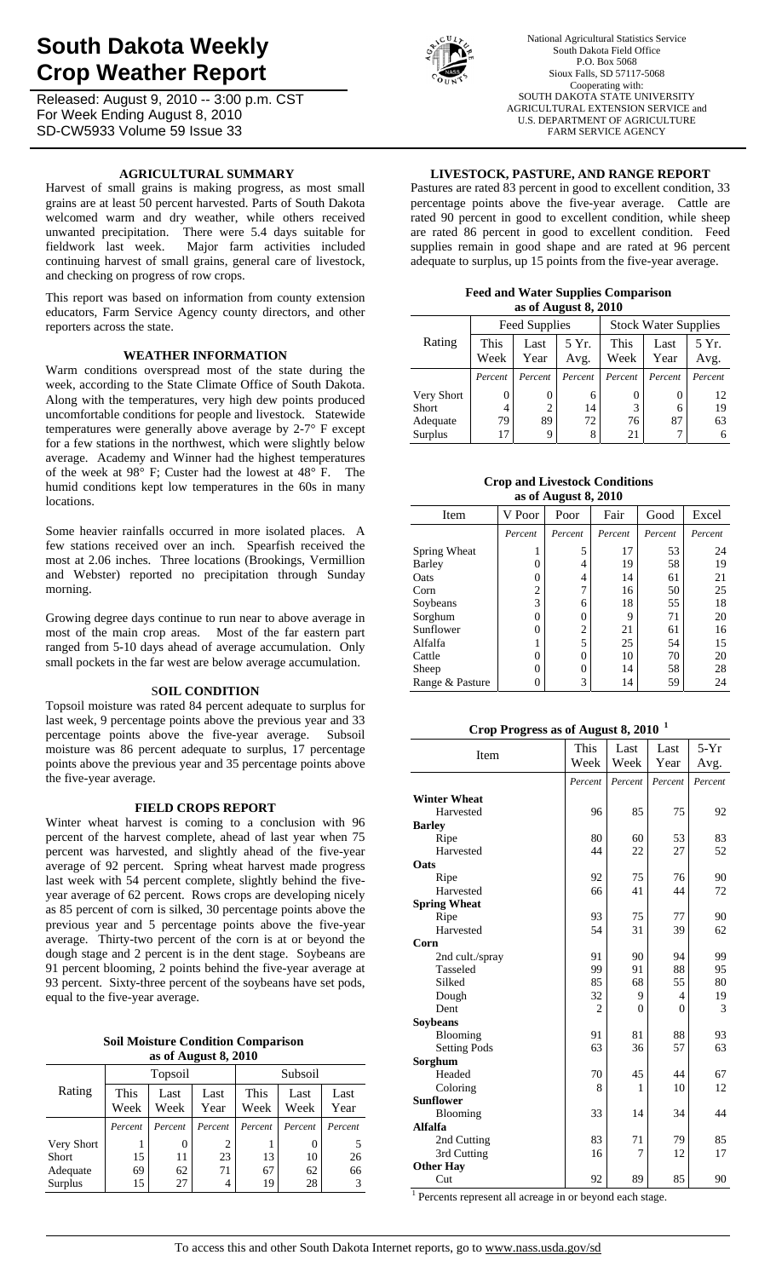# **South Dakota Weekly Crop Weather Report**

Released: August 9, 2010 -- 3:00 p.m. CST For Week Ending August 8, 2010 SD-CW5933 Volume 59 Issue 33

## **AGRICULTURAL SUMMARY**

Harvest of small grains is making progress, as most small grains are at least 50 percent harvested. Parts of South Dakota welcomed warm and dry weather, while others received unwanted precipitation. There were 5.4 days suitable for fieldwork last week. Major farm activities included continuing harvest of small grains, general care of livestock, and checking on progress of row crops.

This report was based on information from county extension educators, Farm Service Agency county directors, and other reporters across the state.

## **WEATHER INFORMATION**

Warm conditions overspread most of the state during the week, according to the State Climate Office of South Dakota. Along with the temperatures, very high dew points produced uncomfortable conditions for people and livestock. Statewide temperatures were generally above average by 2-7° F except for a few stations in the northwest, which were slightly below average. Academy and Winner had the highest temperatures of the week at 98° F; Custer had the lowest at 48° F. The humid conditions kept low temperatures in the 60s in many locations.

Some heavier rainfalls occurred in more isolated places. A few stations received over an inch. Spearfish received the most at 2.06 inches. Three locations (Brookings, Vermillion and Webster) reported no precipitation through Sunday morning.

Growing degree days continue to run near to above average in most of the main crop areas. Most of the far eastern part ranged from 5-10 days ahead of average accumulation. Only small pockets in the far west are below average accumulation.

#### S**OIL CONDITION**

Topsoil moisture was rated 84 percent adequate to surplus for last week, 9 percentage points above the previous year and 33 percentage points above the five-year average. Subsoil moisture was 86 percent adequate to surplus, 17 percentage points above the previous year and 35 percentage points above the five-year average.

#### **FIELD CROPS REPORT**

Winter wheat harvest is coming to a conclusion with 96 percent of the harvest complete, ahead of last year when 75 percent was harvested, and slightly ahead of the five-year average of 92 percent. Spring wheat harvest made progress last week with 54 percent complete, slightly behind the fiveyear average of 62 percent. Rows crops are developing nicely as 85 percent of corn is silked, 30 percentage points above the previous year and 5 percentage points above the five-year average. Thirty-two percent of the corn is at or beyond the dough stage and 2 percent is in the dent stage. Soybeans are 91 percent blooming, 2 points behind the five-year average at 93 percent. Sixty-three percent of the soybeans have set pods, equal to the five-year average.

| <b>Soil Moisture Condition Comparison</b> |  |
|-------------------------------------------|--|
| as of August $8,2010$                     |  |

|            |              | Topsoil      |              | Subsoil |              |              |  |
|------------|--------------|--------------|--------------|---------|--------------|--------------|--|
| Rating     | This<br>Week | Last<br>Week | Last<br>Year |         | Last<br>Week | Last<br>Year |  |
|            | Percent      | Percent      | Percent      | Percent | Percent      | Percent      |  |
| Very Short |              | 0            | 2            |         | $\theta$     |              |  |
| Short      | 15           | 11           | 23           | 13      | 10           | 26           |  |
| Adequate   | 69           | 62           | 71           | 67      | 62           | 66           |  |
| Surplus    | 15           | 27           | 4            | 19      | 28           |              |  |



National Agricultural Statistics Service South Dakota Field Office P.O. Box 5068 Sioux Falls, SD 57117-5068 Cooperating with: SOUTH DAKOTA STATE UNIVERSITY AGRICULTURAL EXTENSION SERVICE and U.S. DEPARTMENT OF AGRICULTURE FARM SERVICE AGENCY

## **LIVESTOCK, PASTURE, AND RANGE REPORT**

Pastures are rated 83 percent in good to excellent condition, 33 percentage points above the five-year average. Cattle are rated 90 percent in good to excellent condition, while sheep are rated 86 percent in good to excellent condition. Feed supplies remain in good shape and are rated at 96 percent adequate to surplus, up 15 points from the five-year average.

#### **Feed and Water Supplies Comparison as of August 8, 2010**

|              |                              | Feed Supplies |               | <b>Stock Water Supplies</b> |              |               |  |  |  |
|--------------|------------------------------|---------------|---------------|-----------------------------|--------------|---------------|--|--|--|
| Rating       | This<br>Last<br>Week<br>Year |               | 5 Yr.<br>Avg. | This<br>Week                | Last<br>Year | 5 Yr.<br>Avg. |  |  |  |
|              | Percent                      | Percent       | Percent       | Percent                     | Percent      | Percent       |  |  |  |
| Very Short   | 0                            | 0             | 6             |                             | $\theta$     | 12            |  |  |  |
| <b>Short</b> | 4                            | 2             | 14            | 3                           | 6            | 19            |  |  |  |
| Adequate     | 79                           | 89            | 72            | 76                          | 87           | 63            |  |  |  |
| Surplus      | 17                           | 9             | 8             | 21                          |              |               |  |  |  |

## **Crop and Livestock Conditions as of August 8, 2010**

| Item            | V Poor   | Poor           | Fair    | Good    | Excel   |
|-----------------|----------|----------------|---------|---------|---------|
|                 | Percent  | Percent        | Percent | Percent | Percent |
| Spring Wheat    |          | 5              | 17      | 53      | 24      |
| Barley          |          | 4              | 19      | 58      | 19      |
| Oats            | $\theta$ | 4              | 14      | 61      | 21      |
| Corn            | 2        | 7              | 16      | 50      | 25      |
| Soybeans        | 3        | 6              | 18      | 55      | 18      |
| Sorghum         | 0        | $\theta$       | 9       | 71      | 20      |
| Sunflower       | $\theta$ | $\overline{c}$ | 21      | 61      | 16      |
| Alfalfa         |          | 5              | 25      | 54      | 15      |
| Cattle          | 0        | 0              | 10      | 70      | 20      |
| Sheep           | $\theta$ | 0              | 14      | 58      | 28      |
| Range & Pasture | 0        | 3              | 14      | 59      | 24      |

## **Crop Progress as of August 8, 2010 <sup>1</sup>**

| Item                | This           | Last     | Last           | $5-Yr$  |
|---------------------|----------------|----------|----------------|---------|
|                     | Week           | Week     | Year           | Avg.    |
|                     | Percent        | Percent  | Percent        | Percent |
| <b>Winter Wheat</b> |                |          |                |         |
| Harvested           | 96             | 85       | 75             | 92      |
| <b>Barley</b>       |                |          |                |         |
| Ripe                | 80             | 60       | 53             | 83      |
| Harvested           | 44             | 22       | 27             | 52      |
| Oats                |                |          |                |         |
| Ripe                | 92             | 75       | 76             | 90      |
| Harvested           | 66             | 41       | 44             | 72      |
| <b>Spring Wheat</b> |                |          |                |         |
| Ripe                | 93             | 75       | 77             | 90      |
| Harvested           | 54             | 31       | 39             | 62      |
| Corn                |                |          |                |         |
| 2nd cult./spray     | 91             | 90       | 94             | 99      |
| Tasseled            | 99             | 91       | 88             | 95      |
| Silked              | 85             | 68       | 55             | 80      |
| Dough               | 32             | 9        | $\overline{4}$ | 19      |
| Dent                | $\overline{c}$ | $\Omega$ | $\theta$       | 3       |
| <b>Soybeans</b>     |                |          |                |         |
| Blooming            | 91             | 81       | 88             | 93      |
| <b>Setting Pods</b> | 63             | 36       | 57             | 63      |
| Sorghum             |                |          |                |         |
| Headed              | 70             | 45       | 44             | 67      |
| Coloring            | 8              | 1        | 10             | 12      |
| <b>Sunflower</b>    |                |          |                |         |
| Blooming            | 33             | 14       | 34             | 44      |
| <b>Alfalfa</b>      |                |          |                |         |
| 2nd Cutting         | 83             | 71       | 79             | 85      |
| 3rd Cutting         | 16             | 7        | 12             | 17      |
| <b>Other Hay</b>    |                |          |                |         |
| Cut                 | 92             | 89       | 85             | 90      |

<sup>1</sup> Percents represent all acreage in or beyond each stage.